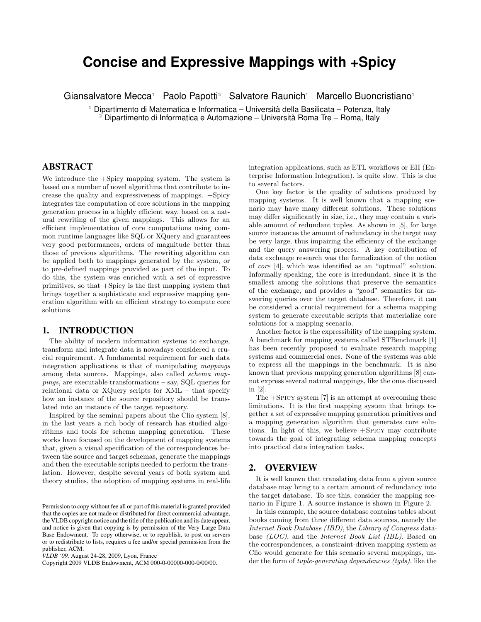# **Concise and Expressive Mappings with +Spicy**

Giansalvatore Mecca<sup>1</sup> Paolo Papotti<sup>2</sup> Salvatore Raunich<sup>1</sup> Marcello Buoncristiano<sup>1</sup>

 $^{\rm 1}$  Dipartimento di Matematica e Informatica – Università della Basilicata – Potenza, Italy <sup>2</sup> Dipartimento di Informatica e Automazione – Universita Roma Tre – Roma, Italy `

## **ABSTRACT**

We introduce the +Spicy mapping system. The system is based on a number of novel algorithms that contribute to increase the quality and expressiveness of mappings. +Spicy integrates the computation of core solutions in the mapping generation process in a highly efficient way, based on a natural rewriting of the given mappings. This allows for an efficient implementation of core computations using common runtime languages like SQL or XQuery and guarantees very good performances, orders of magnitude better than those of previous algorithms. The rewriting algorithm can be applied both to mappings generated by the system, or to pre-defined mappings provided as part of the input. To do this, the system was enriched with a set of expressive primitives, so that +Spicy is the first mapping system that brings together a sophisticate and expressive mapping generation algorithm with an efficient strategy to compute core solutions.

#### **1. INTRODUCTION**

The ability of modern information systems to exchange, transform and integrate data is nowadays considered a crucial requirement. A fundamental requirement for such data integration applications is that of manipulating mappings among data sources. Mappings, also called schema mappings, are executable transformations – say, SQL queries for relational data or XQuery scripts for XML – that specify how an instance of the source repository should be translated into an instance of the target repository.

Inspired by the seminal papers about the Clio system [8], in the last years a rich body of research has studied algorithms and tools for schema mapping generation. These works have focused on the development of mapping systems that, given a visual specification of the correspondences between the source and target schemas, generate the mappings and then the executable scripts needed to perform the translation. However, despite several years of both system and theory studies, the adoption of mapping systems in real-life

Copyright 2009 VLDB Endowment, ACM 000-0-00000-000-0/00/00.

integration applications, such as ETL workflows or EII (Enterprise Information Integration), is quite slow. This is due to several factors.

One key factor is the quality of solutions produced by mapping systems. It is well known that a mapping scenario may have many different solutions. These solutions may differ significantly in size, i.e., they may contain a variable amount of redundant tuples. As shown in [5], for large source instances the amount of redundancy in the target may be very large, thus impairing the efficiency of the exchange and the query answering process. A key contribution of data exchange research was the formalization of the notion of core [4], which was identified as an "optimal" solution. Informally speaking, the core is irredundant, since it is the smallest among the solutions that preserve the semantics of the exchange, and provides a "good" semantics for answering queries over the target database. Therefore, it can be considered a crucial requirement for a schema mapping system to generate executable scripts that materialize core solutions for a mapping scenario.

Another factor is the expressibility of the mapping system. A benchmark for mapping systems called STBenchmark [1] has been recently proposed to evaluate research mapping systems and commercial ones. None of the systems was able to express all the mappings in the benchmark. It is also known that previous mapping generation algorithms [8] cannot express several natural mappings, like the ones discussed in [2].

The +Spicy system [7] is an attempt at overcoming these limitations. It is the first mapping system that brings together a set of expressive mapping generation primitives and a mapping generation algorithm that generates core solutions. In light of this, we believe +Spicy may contribute towards the goal of integrating schema mapping concepts into practical data integration tasks.

### **2. OVERVIEW**

It is well known that translating data from a given source database may bring to a certain amount of redundancy into the target database. To see this, consider the mapping scenario in Figure 1. A source instance is shown in Figure 2.

In this example, the source database contains tables about books coming from three different data sources, namely the Internet Book Database (IBD), the Library of Congress database (LOC), and the Internet Book List (IBL). Based on the correspondences, a constraint-driven mapping system as Clio would generate for this scenario several mappings, under the form of tuple-generating dependencies (tgds), like the

Permission to copy without fee all or part of this material is granted provided that the copies are not made or distributed for direct commercial advantage, the VLDB copyright notice and the title of the publication and its date appear, and notice is given that copying is by permission of the Very Large Data Base Endowment. To copy otherwise, or to republish, to post on servers or to redistribute to lists, requires a fee and/or special permission from the publisher, ACM.

*VLDB '09,* August 24-28, 2009, Lyon, France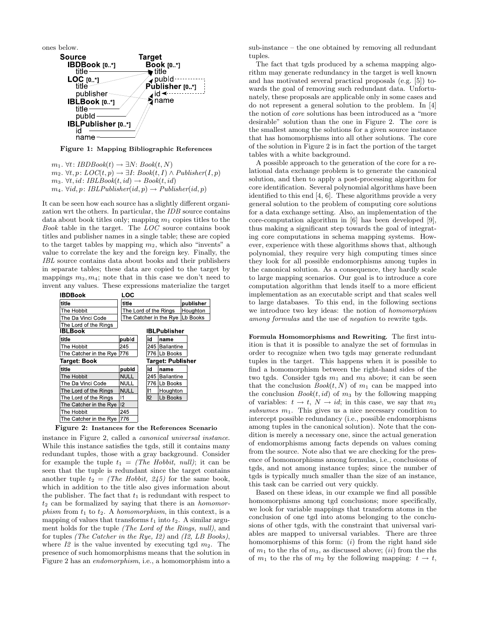ones below.



Figure 1: Mapping Bibliographic References

 $m_1$ . ∀t: *IBDBook*(t)  $\rightarrow \exists N: Book(t, N)$  $m_2$ . ∀t,  $p: LOC(t, p)$  → ∃I: Book(t, I) ∧ Publisher(I, p)  $m_3$ .  $\forall t, id$ : IBLBook $(t, id) \rightarrow Book(t, id)$  $m_4$ .  $\forall id, p: IBLPublisher(id, p) \rightarrow Publisher(id, p)$ 

It can be seen how each source has a slightly different organization wrt the others. In particular, the IDB source contains data about book titles only; mapping  $m_1$  copies titles to the Book table in the target. The LOC source contains book titles and publisher names in a single table; these are copied to the target tables by mapping  $m_2$ , which also "invents" a value to correlate the key and the foreign key. Finally, the IBL source contains data about books and their publishers in separate tables; these data are copied to the target by mappings  $m_3, m_4$ ; note that in this case we don't need to invent any values. These expressions materialize the target





instance in Figure 2, called a canonical universal instance. While this instance satisfies the tgds, still it contains many redundant tuples, those with a gray background. Consider for example the tuple  $t_1 =$  (The Hobbit, null); it can be seen that the tuple is redundant since the target contains another tuple  $t_2 =$  (The Hobbit, 245) for the same book, which in addition to the title also gives information about the publisher. The fact that  $t_1$  is redundant with respect to  $t_2$  can be formalized by saying that there is an *homomor*phism from  $t_1$  to  $t_2$ . A homomorphism, in this context, is a mapping of values that transforms  $t_1$  into  $t_2$ . A similar argument holds for the tuple (The Lord of the Rings, null), and for tuples (The Catcher in the Rye, I2) and (I2, LB Books), where  $I2$  is the value invented by executing tgd  $m_2$ . The presence of such homomorphisms means that the solution in Figure 2 has an endomorphism, i.e., a homomorphism into a sub-instance – the one obtained by removing all redundant tuples.

The fact that tgds produced by a schema mapping algorithm may generate redundancy in the target is well known and has motivated several practical proposals (e.g. [5]) towards the goal of removing such redundant data. Unfortunately, these proposals are applicable only in some cases and do not represent a general solution to the problem. In [4] the notion of core solutions has been introduced as a "more desirable" solution than the one in Figure 2. The core is the smallest among the solutions for a given source instance that has homomorphisms into all other solutions. The core of the solution in Figure 2 is in fact the portion of the target tables with a white background.

A possible approach to the generation of the core for a relational data exchange problem is to generate the canonical solution, and then to apply a post-processing algorithm for core identification. Several polynomial algorithms have been identified to this end [4, 6]. These algorithms provide a very general solution to the problem of computing core solutions for a data exchange setting. Also, an implementation of the core-computation algorithm in [6] has been developed [9], thus making a significant step towards the goal of integrating core computations in schema mapping systems. However, experience with these algorithms shows that, although polynomial, they require very high computing times since they look for all possible endomorphisms among tuples in the canonical solution. As a consequence, they hardly scale to large mapping scenarios. Our goal is to introduce a core computation algorithm that lends itself to a more efficient implementation as an executable script and that scales well to large databases. To this end, in the following sections we introduce two key ideas: the notion of homomorphism among formulas and the use of negation to rewrite tgds.

Formula Homomorphisms and Rewriting*.* The first intuition is that it is possible to analyze the set of formulas in order to recognize when two tgds may generate redundant tuples in the target. This happens when it is possible to find a homomorphism between the right-hand sides of the two tgds. Consider tgds  $m_1$  and  $m_3$  above; it can be seen that the conclusion  $Book(t, N)$  of  $m_1$  can be mapped into the conclusion  $Book(t, id)$  of  $m_3$  by the following mapping of variables:  $t \to t$ ,  $N \to id$ ; in this case, we say that  $m_3$ subsumes  $m_1$ . This gives us a nice necessary condition to intercept possible redundancy (i.e., possible endomorphisms among tuples in the canonical solution). Note that the condition is merely a necessary one, since the actual generation of endomorphisms among facts depends on values coming from the source. Note also that we are checking for the presence of homomorphisms among formulas, i.e., conclusions of tgds, and not among instance tuples; since the number of tgds is typically much smaller than the size of an instance, this task can be carried out very quickly.

Based on these ideas, in our example we find all possible homomorphisms among tgd conclusions; more specifically, we look for variable mappings that transform atoms in the conclusion of one tgd into atoms belonging to the conclusions of other tgds, with the constraint that universal variables are mapped to universal variables. There are three homomorphisms of this form:  $(i)$  from the right hand side of  $m_1$  to the rhs of  $m_3$ , as discussed above; *(ii)* from the rhs of  $m_1$  to the rhs of  $m_2$  by the following mapping:  $t \to t$ ,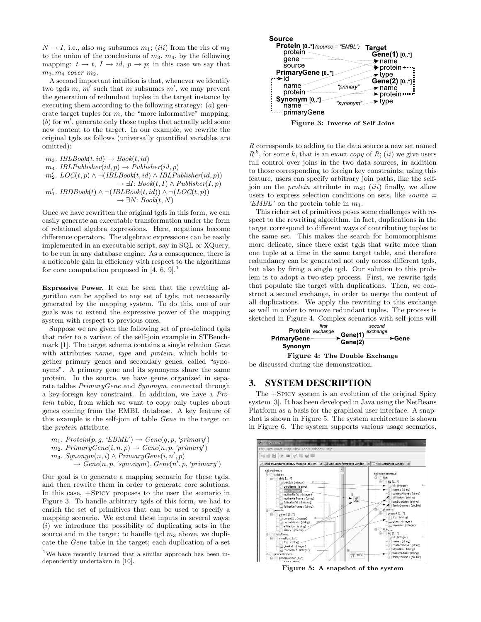$N \rightarrow I$ , i.e., also  $m_2$  subsumes  $m_1$ ; (*iii*) from the rhs of  $m_2$ to the union of the conclusions of  $m_3$ ,  $m_4$ , by the following mapping:  $t \to t$ ,  $I \to id$ ,  $p \to p$ ; in this case we say that  $m_3, m_4$  cover  $m_2$ .

A second important intuition is that, whenever we identify two tgds  $m, m'$  such that m subsumes  $m'$ , we may prevent the generation of redundant tuples in the target instance by executing them according to the following strategy: (a) generate target tuples for  $m$ , the "more informative" mapping; (b) for  $m'$ , generate only those tuples that actually add some new content to the target. In our example, we rewrite the original tgds as follows (universally quantified variables are omitted):

 $m_3$ . IBLBook $(t, id) \rightarrow Book(t, id)$  $m_4$ . IBLPublisher(id, p)  $\rightarrow$  Publisher(id, p)  $m_2'$ . LOC $(t, p) \wedge \neg (IBLBook(t, id) \wedge IBLPublisher(id, p))$  $\rightarrow \exists I: Book(t, I) \wedge Publisher(I, p)$  $m'_1$ . IBDBook(t) ∧ ¬(IBLBook(t, id)) ∧ ¬(LOC(t, p))  $\rightarrow \exists N: Book(t, N)$ 

Once we have rewritten the original tgds in this form, we can easily generate an executable transformation under the form of relational algebra expressions. Here, negations become difference operators. The algebraic expressions can be easily implemented in an executable script, say in SQL or XQuery, to be run in any database engine. As a consequence, there is a noticeable gain in efficiency with respect to the algorithms for core computation proposed in  $[4, 6, 9]$ .

Expressive Power*.* It can be seen that the rewriting algorithm can be applied to any set of tgds, not necessarily generated by the mapping system. To do this, one of our goals was to extend the expressive power of the mapping system with respect to previous ones.

Suppose we are given the following set of pre-defined tgds that refer to a variant of the self-join example in STBenchmark [1]. The target schema contains a single relation Gene with attributes name, type and protein, which holds together primary genes and secondary genes, called "synonyms". A primary gene and its synonyms share the same protein. In the source, we have genes organized in separate tables PrimaryGene and Synonym, connected through a key-foreign key constraint. In addition, we have a Protein table, from which we want to copy only tuples about genes coming from the EMBL database. A key feature of this example is the self-join of table Gene in the target on the protein attribute.

- $m_1$ . Protein $(p, g, 'EBML') \rightarrow Gene(g, p, 'primary')$
- $m_2$ . PrimaryGene(i, n, p)  $\rightarrow$  Gene(n, p, 'primary')
- $m_3$ . Synonym $(n,i) \wedge \overrightarrow{PrimaryGene(i,n',p)}$ 
	- $\rightarrow \overset{\sim}{Gene}(n, p, 'synonym'), \overset{\sim}{Gene}(n', p, 'primary')$

Our goal is to generate a mapping scenario for these tgds, and then rewrite them in order to generate core solutions. In this case, +Spicy proposes to the user the scenario in Figure 3. To handle arbitrary tgds of this form, we had to enrich the set of primitives that can be used to specify a mapping scenario. We extend these inputs in several ways:  $(i)$  we introduce the possibility of duplicating sets in the source and in the target; to handle tgd  $m_3$  above, we duplicate the Gene table in the target; each duplication of a set



R corresponds to adding to the data source a new set named  $R^k$ , for some k, that is an exact copy of R; (ii) we give users full control over joins in the two data sources, in addition to those corresponding to foreign key constraints; using this feature, users can specify arbitrary join paths, like the selfjoin on the *protein* attribute in  $m_3$ ; (*iii*) finally, we allow users to express selection conditions on sets, like *source*  $=$ 'EMBL' on the protein table in  $m_1$ .

This richer set of primitives poses some challenges with respect to the rewriting algorithm. In fact, duplications in the target correspond to different ways of contributing tuples to the same set. This makes the search for homomorphisms more delicate, since there exist tgds that write more than one tuple at a time in the same target table, and therefore redundancy can be generated not only across different tgds, but also by firing a single tgd. Our solution to this problem is to adopt a two-step process. First, we rewrite tgds that populate the target with duplications. Then, we construct a second exchange, in order to merge the content of all duplications. We apply the rewriting to this exchange as well in order to remove redundant tuples. The process is sketched in Figure 4. Complex scenarios with self-joins will





### **3. SYSTEM DESCRIPTION**

The +Spicy system is an evolution of the original Spicy system [3]. It has been developed in Java using the NetBeans Platform as a basis for the graphical user interface. A snapshot is shown in Figure 5. The system architecture is shown in Figure 6. The system supports various usage scenarios,



Figure 5: A snapshot of the system

<sup>&</sup>lt;sup>1</sup>We have recently learned that a similar approach has been independently undertaken in [10].